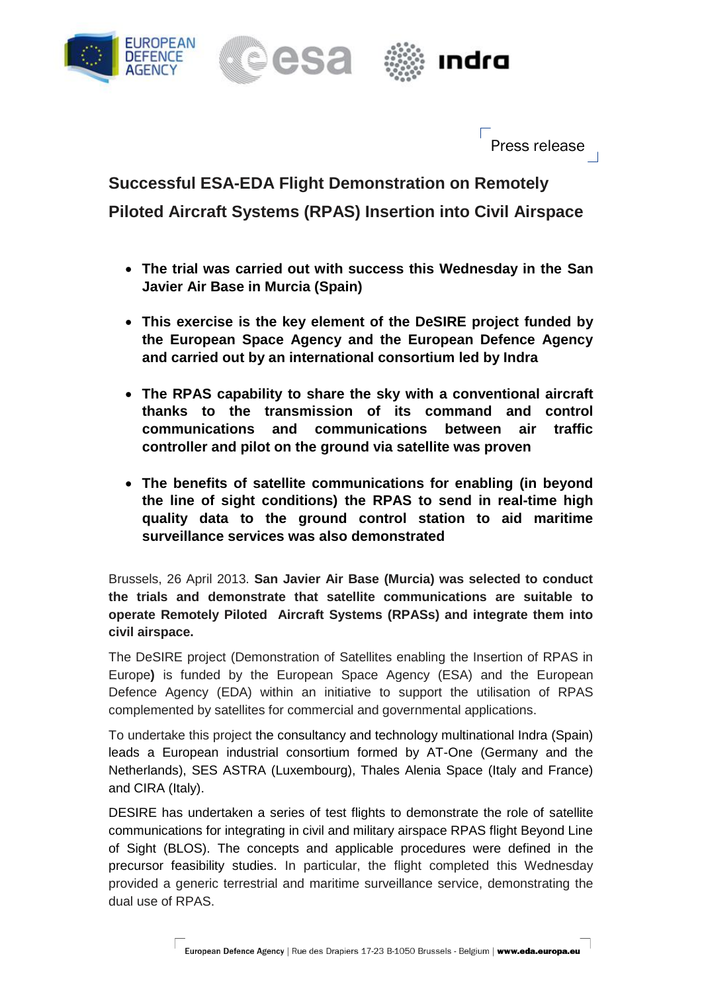





Press release

**Successful ESA-EDA Flight Demonstration on Remotely Piloted Aircraft Systems (RPAS) Insertion into Civil Airspace**

- **The trial was carried out with success this Wednesday in the San Javier Air Base in Murcia (Spain)**
- **This exercise is the key element of the DeSIRE project funded by the European Space Agency and the European Defence Agency and carried out by an international consortium led by Indra**
- **The RPAS capability to share the sky with a conventional aircraft thanks to the transmission of its command and control communications and communications between air traffic controller and pilot on the ground via satellite was proven**
- **The benefits of satellite communications for enabling (in beyond the line of sight conditions) the RPAS to send in real-time high quality data to the ground control station to aid maritime surveillance services was also demonstrated**

Brussels, 26 April 2013. **San Javier Air Base (Murcia) was selected to conduct the trials and demonstrate that satellite communications are suitable to operate Remotely Piloted Aircraft Systems (RPASs) and integrate them into civil airspace.**

The DeSIRE project (Demonstration of Satellites enabling the Insertion of RPAS in Europe**)** is funded by the European Space Agency (ESA) and the European Defence Agency (EDA) within an initiative to support the utilisation of RPAS complemented by satellites for commercial and governmental applications.

To undertake this project the consultancy and technology multinational Indra (Spain) leads a European industrial consortium formed by AT-One (Germany and the Netherlands), SES ASTRA (Luxembourg), Thales Alenia Space (Italy and France) and CIRA (Italy).

DESIRE has undertaken a series of test flights to demonstrate the role of satellite communications for integrating in civil and military airspace RPAS flight Beyond Line of Sight (BLOS). The concepts and applicable procedures were defined in the precursor feasibility studies. In particular, the flight completed this Wednesday provided a generic terrestrial and maritime surveillance service, demonstrating the dual use of RPAS.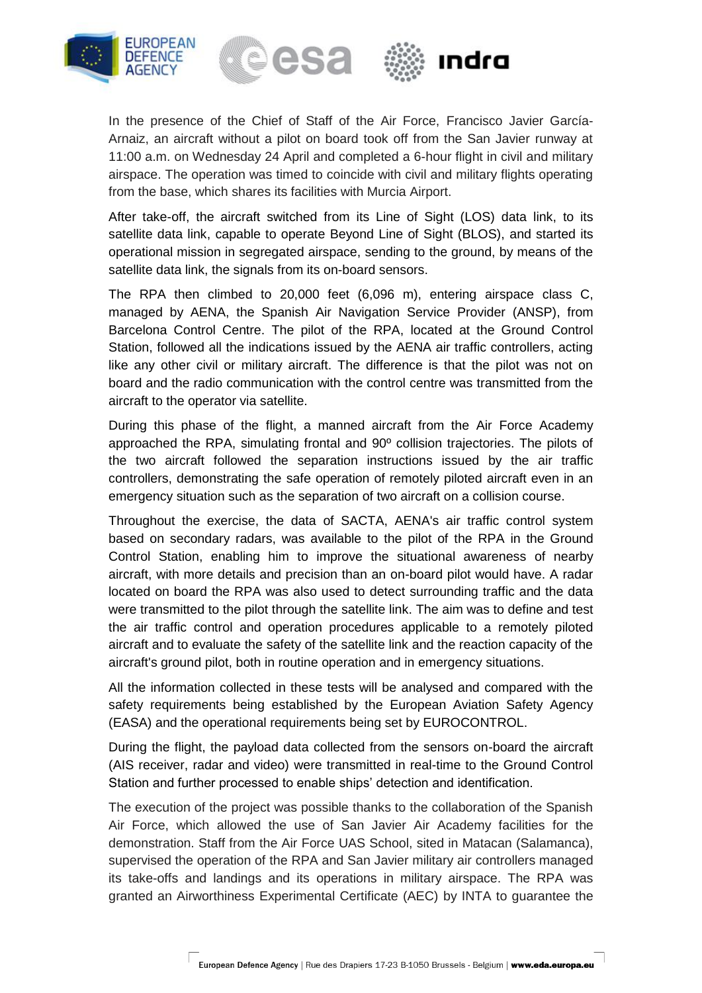



In the presence of the Chief of Staff of the Air Force, Francisco Javier García-Arnaiz, an aircraft without a pilot on board took off from the San Javier runway at 11:00 a.m. on Wednesday 24 April and completed a 6-hour flight in civil and military airspace. The operation was timed to coincide with civil and military flights operating from the base, which shares its facilities with Murcia Airport.

After take-off, the aircraft switched from its Line of Sight (LOS) data link, to its satellite data link, capable to operate Beyond Line of Sight (BLOS), and started its operational mission in segregated airspace, sending to the ground, by means of the satellite data link, the signals from its on-board sensors.

The RPA then climbed to 20,000 feet (6,096 m), entering airspace class C, managed by AENA, the Spanish Air Navigation Service Provider (ANSP), from Barcelona Control Centre. The pilot of the RPA, located at the Ground Control Station, followed all the indications issued by the AENA air traffic controllers, acting like any other civil or military aircraft. The difference is that the pilot was not on board and the radio communication with the control centre was transmitted from the aircraft to the operator via satellite.

During this phase of the flight, a manned aircraft from the Air Force Academy approached the RPA, simulating frontal and 90º collision trajectories. The pilots of the two aircraft followed the separation instructions issued by the air traffic controllers, demonstrating the safe operation of remotely piloted aircraft even in an emergency situation such as the separation of two aircraft on a collision course.

Throughout the exercise, the data of SACTA, AENA's air traffic control system based on secondary radars, was available to the pilot of the RPA in the Ground Control Station, enabling him to improve the situational awareness of nearby aircraft, with more details and precision than an on-board pilot would have. A radar located on board the RPA was also used to detect surrounding traffic and the data were transmitted to the pilot through the satellite link. The aim was to define and test the air traffic control and operation procedures applicable to a remotely piloted aircraft and to evaluate the safety of the satellite link and the reaction capacity of the aircraft's ground pilot, both in routine operation and in emergency situations.

All the information collected in these tests will be analysed and compared with the safety requirements being established by the European Aviation Safety Agency (EASA) and the operational requirements being set by EUROCONTROL.

During the flight, the payload data collected from the sensors on-board the aircraft (AIS receiver, radar and video) were transmitted in real-time to the Ground Control Station and further processed to enable ships' detection and identification.

The execution of the project was possible thanks to the collaboration of the Spanish Air Force, which allowed the use of San Javier Air Academy facilities for the demonstration. Staff from the Air Force UAS School, sited in Matacan (Salamanca), supervised the operation of the RPA and San Javier military air controllers managed its take-offs and landings and its operations in military airspace. The RPA was granted an Airworthiness Experimental Certificate (AEC) by INTA to guarantee the